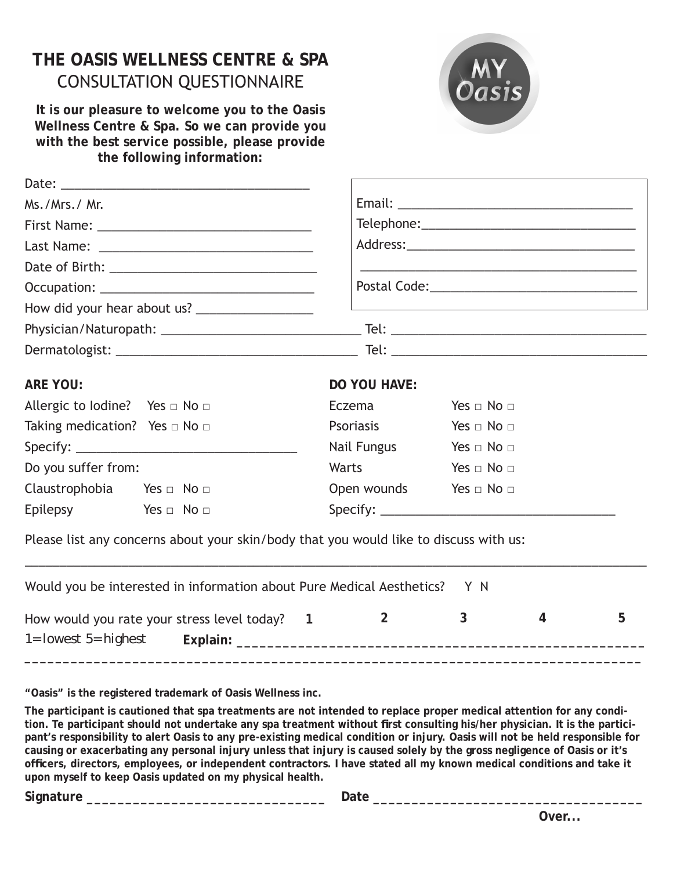## **THE OASIS WELLNESS CENTRE & SPA** CONSULTATION QUESTIONNAIRE

**It is our pleasure to welcome you to the Oasis Wellness Centre & Spa. So we can provide you with the best service possible, please provide the following information:**



| Ms./Mrs./ Mr.                            |  |                                                                                       |                                                                                                                      |  |  |  |  |  |  |
|------------------------------------------|--|---------------------------------------------------------------------------------------|----------------------------------------------------------------------------------------------------------------------|--|--|--|--|--|--|
|                                          |  |                                                                                       |                                                                                                                      |  |  |  |  |  |  |
|                                          |  |                                                                                       |                                                                                                                      |  |  |  |  |  |  |
|                                          |  |                                                                                       |                                                                                                                      |  |  |  |  |  |  |
|                                          |  |                                                                                       |                                                                                                                      |  |  |  |  |  |  |
|                                          |  |                                                                                       | <u> 1989 - Johann Stein, mars an deutscher Stein und der Stein und der Stein und der Stein und der Stein und der</u> |  |  |  |  |  |  |
|                                          |  |                                                                                       |                                                                                                                      |  |  |  |  |  |  |
|                                          |  |                                                                                       |                                                                                                                      |  |  |  |  |  |  |
| <b>ARE YOU:</b>                          |  | <b>DO YOU HAVE:</b>                                                                   |                                                                                                                      |  |  |  |  |  |  |
| Allergic to Iodine? Yes $\Box$ No $\Box$ |  | Eczema                                                                                | Yes $\Box$ No $\Box$                                                                                                 |  |  |  |  |  |  |
| Taking medication? Yes $\Box$ No $\Box$  |  | Psoriasis                                                                             | Yes $\Box$ No $\Box$                                                                                                 |  |  |  |  |  |  |
|                                          |  | Nail Fungus                                                                           | Yes $\Box$ No $\Box$                                                                                                 |  |  |  |  |  |  |
| Do you suffer from:                      |  | <b>Warts</b> and the Warts of the Warts                                               | Yes $\Box$ No $\Box$                                                                                                 |  |  |  |  |  |  |
| Claustrophobia Yes $\Box$ No $\Box$      |  | Open wounds Yes $\Box$ No $\Box$                                                      |                                                                                                                      |  |  |  |  |  |  |
| Epilepsy Yes $\Box$ No $\Box$            |  |                                                                                       |                                                                                                                      |  |  |  |  |  |  |
|                                          |  | Please list any concerns about your skin/body that you would like to discuss with us: |                                                                                                                      |  |  |  |  |  |  |
|                                          |  | Would you be interested in information about Pure Medical Aesthetics? Y N             |                                                                                                                      |  |  |  |  |  |  |

| How would you rate your stress level today? 1 |  |  |  |
|-----------------------------------------------|--|--|--|
| $1 =$ lowest $5 =$ highest Explain:           |  |  |  |

**"Oasis" is the registered trademark of Oasis Wellness inc.**

**The participant is cautioned that spa treatments are not intended to replace proper medical attention for any condi**tion. Te participant should not undertake any spa treatment without first consulting his/her physician. It is the partici**pant's responsibility to alert Oasis to any pre-existing medical condition or injury. Oasis will not be held responsible for causing or exacerbating any personal injury unless that injury is caused solely by the gross negligence of Oasis or it's offi cers, directors, employees, or independent contractors. I have stated all my known medical conditions and take it upon myself to keep Oasis updated on my physical health.**

**Signature \_\_\_\_\_\_\_\_\_\_\_\_\_\_\_\_\_\_\_\_\_\_\_\_\_\_\_\_\_\_\_ Date \_\_\_\_\_\_\_\_\_\_\_\_\_\_\_\_\_\_\_\_\_\_\_\_\_\_\_\_\_\_\_\_\_\_\_**